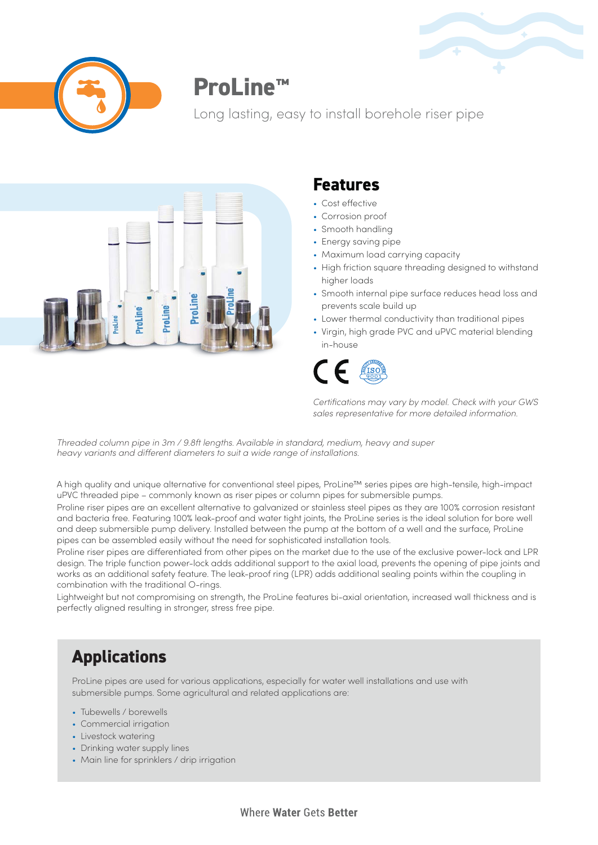



# **ProLine™**

Long lasting, easy to install borehole riser pipe



### **Features**

- Cost effective
- Corrosion proof
- Smooth handling
- Energy saving pipe
- Maximum load carrying capacity
- High friction square threading designed to withstand higher loads
- Smooth internal pipe surface reduces head loss and prevents scale build up
- Lower thermal conductivity than traditional pipes
- Virgin, high grade PVC and uPVC material blending in-house



| Certifications may vary by model. Check with your GWS |
|-------------------------------------------------------|
| sales representative for more detailed information.   |

*Threaded column pipe in 3m / 9.8ft lengths. Available in standard, medium, heavy and super heavy variants and different diameters to suit a wide range of installations.*

A high quality and unique alternative for conventional steel pipes, ProLine™ series pipes are high-tensile, high-impact uPVC threaded pipe – commonly known as riser pipes or column pipes for submersible pumps.

Proline riser pipes are an excellent alternative to galvanized or stainless steel pipes as they are 100% corrosion resistant and bacteria free. Featuring 100% leak-proof and water tight joints, the ProLine series is the ideal solution for bore well and deep submersible pump delivery. Installed between the pump at the bottom of a well and the surface, ProLine pipes can be assembled easily without the need for sophisticated installation tools.

Proline riser pipes are differentiated from other pipes on the market due to the use of the exclusive power-lock and LPR design. The triple function power-lock adds additional support to the axial load, prevents the opening of pipe joints and works as an additional safety feature. The leak-proof ring (LPR) adds additional sealing points within the coupling in combination with the traditional O-rings.

Lightweight but not compromising on strength, the ProLine features bi-axial orientation, increased wall thickness and is perfectly aligned resulting in stronger, stress free pipe.

## **Applications**

ProLine pipes are used for various applications, especially for water well installations and use with submersible pumps. Some agricultural and related applications are:

- Tubewells / borewells
- Commercial irrigation
- Livestock watering
- Drinking water supply lines
- Main line for sprinklers / drip irrigation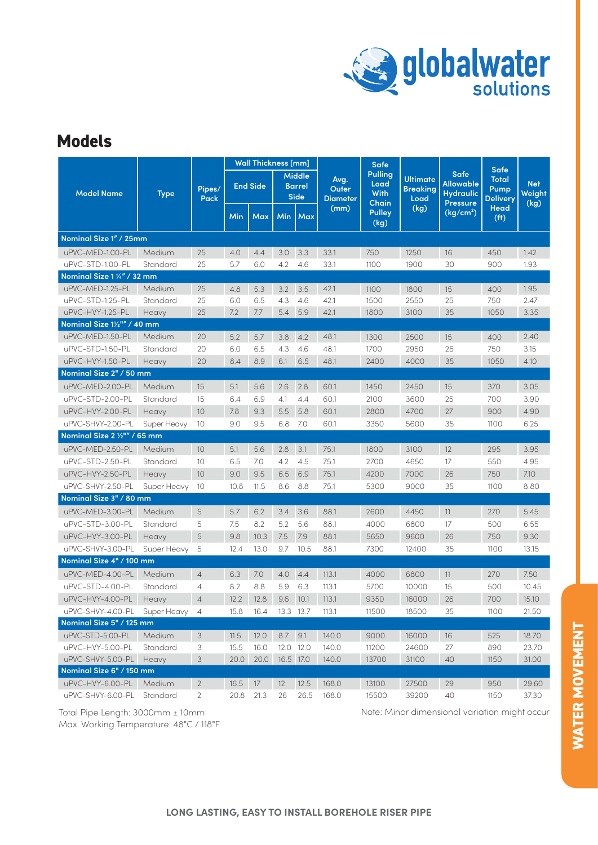

## **Models**

|                              | <b>Type</b> | Pipes/<br>Pack | <b>Wall Thickness [mm]</b> |            |                                               |           |                                  | Safe                                    |                                            |                                                                        | <b>Safe</b>                             |                              |
|------------------------------|-------------|----------------|----------------------------|------------|-----------------------------------------------|-----------|----------------------------------|-----------------------------------------|--------------------------------------------|------------------------------------------------------------------------|-----------------------------------------|------------------------------|
| <b>Model Name</b>            |             |                | <b>End Side</b>            |            | <b>Middle</b><br><b>Barrel</b><br><b>Side</b> |           | Avg.<br>Outer<br><b>Diameter</b> | <b>Pulling</b><br>Load<br>With<br>Chain | <b>Ultimate</b><br><b>Breaking</b><br>Load | <b>Safe</b><br><b>Allowable</b><br><b>Hydraulic</b><br><b>Pressure</b> | <b>Total</b><br>Pump<br><b>Delivery</b> | <b>Net</b><br>Weight<br>(kg) |
|                              |             |                | Min                        | <b>Max</b> | <b>Min</b>                                    | Max       | (mm)                             | <b>Pulley</b><br>(kg)                   | (kg)                                       | (kg/cm <sup>2</sup> )                                                  | Head<br>(f <sup>t</sup> )               |                              |
| Nominal Size 1" / 25mm       |             |                |                            |            |                                               |           |                                  |                                         |                                            |                                                                        |                                         |                              |
| uPVC-MED-1.00-PL             | Medium      | 25             | 4.0                        | 4.4        | 3.0                                           | 3.3       | 33.1                             | 750                                     | 1250                                       | 16                                                                     | 450                                     | 1.42                         |
| uPVC-STD-1.00-PL             | Standard    | 25             | 5.7                        | 6.0        | 4.2                                           | 4.6       | 33.1                             | 1100                                    | 1900                                       | 30                                                                     | 900                                     | 1.93                         |
| Nominal Size 1 1/4" / 32 mm  |             |                |                            |            |                                               |           |                                  |                                         |                                            |                                                                        |                                         |                              |
| uPVC-MED-1.25-PL             | Medium      | 25             | 4.8                        | 5.3        | 3.2                                           | 3.5       | 42.1                             | 1100                                    | 1800                                       | 15                                                                     | 400                                     | 1.95                         |
| uPVC-STD-1.25-PL             | Standard    | 25             | 6.0                        | 6.5        | 4.3                                           | 4.6       | 42.1                             | 1500                                    | 2550                                       | 25                                                                     | 750                                     | 2.47                         |
| uPVC-HVY-1.25-PL             | Heavy       | 25             | 7.2                        | 7.7        | 5.4                                           | 5.9       | 42.1                             | 1800                                    | 3100                                       | 35                                                                     | 1050                                    | 3.35                         |
| Nominal Size 11/2"" / 40 mm  |             |                |                            |            |                                               |           |                                  |                                         |                                            |                                                                        |                                         |                              |
| uPVC-MED-1.50-PL             | Medium      | 20             | 5.2                        | 5.7        | 3.8                                           | 4.2       | 48.1                             | 1300                                    | 2500                                       | 15                                                                     | 400                                     | 2.40                         |
| uPVC-STD-1.50-PL             | Standard    | 20             | 6.0                        | 6.5        | 4.3                                           | 4.6       | 48.1                             | 1700                                    | 2950                                       | 26                                                                     | 750                                     | 3.15                         |
| uPVC-HVY-1.50-PL             | Heavy       | 20             | 8.4                        | 8.9        | 6.1                                           | 6.5       | 48.1                             | 2400                                    | 4000                                       | 35                                                                     | 1050                                    | 4.10                         |
| Nominal Size 2" / 50 mm      |             |                |                            |            |                                               |           |                                  |                                         |                                            |                                                                        |                                         |                              |
| uPVC-MED-2.00-PL             | Medium      | 15             | 5.1                        | 5.6        | 2.6                                           | 2.8       | 60.1                             | 1450                                    | 2450                                       | 15                                                                     | 370                                     | 3.05                         |
| uPVC-STD-2.00-PL             | Standard    | 15             | 6.4                        | 6.9        | 4.1                                           | 4.4       | 60.1                             | 2100                                    | 3600                                       | 25                                                                     | 700                                     | 3.90                         |
| uPVC-HVY-2.00-PL             | Heavy       | 10             | 7.8                        | 9.3        | 5.5                                           | 5.8       | 60.1                             | 2800                                    | 4700                                       | 27                                                                     | 900                                     | 4.90                         |
| uPVC-SHVY-2.00-PL            | Super Heavy | 10             | 9.0                        | 9.5        | 6.8                                           | 7.0       | 60.1                             | 3350                                    | 5600                                       | 35                                                                     | 1100                                    | 6.25                         |
| Nominal Size 2 1/2"" / 65 mm |             |                |                            |            |                                               |           |                                  |                                         |                                            |                                                                        |                                         |                              |
| uPVC-MED-2.50-PL             | Medium      | 10             | 5.1                        | 5.6        | 2.8                                           | 3.1       | 75.1                             | 1800                                    | 3100                                       | 12                                                                     | 295                                     | 3.95                         |
| uPVC-STD-2.50-PL             | Standard    | 10             | 6.5                        | 7.0        | 4.2                                           | 4.5       | 75.1                             | 2700                                    | 4650                                       | 17                                                                     | 550                                     | 4.95                         |
| uPVC-HVY-2.50-PL             | Heavy       | 10             | 9.0                        | 9.5        | 6.5                                           | 6.9       | 75.1                             | 4200                                    | 7000                                       | 26                                                                     | 750                                     | 7.10                         |
| uPVC-SHVY-2.50-PL            | Super Heavy | 10             | 10.8                       | 11.5       | 8.6                                           | 8.8       | 75.1                             | 5300                                    | 9000                                       | 35                                                                     | 1100                                    | 8.80                         |
| Nominal Size 3" / 80 mm      |             |                |                            |            |                                               |           |                                  |                                         |                                            |                                                                        |                                         |                              |
| uPVC-MED-3.00-PL             | Medium      | 5              | 5.7                        | 6.2        | 3.4                                           | 3.6       | 88.1                             | 2600                                    | 4450                                       | 11                                                                     | 270                                     | 5.45                         |
| uPVC-STD-3.00-PL             | Standard    | 5              | 7.5                        | 8.2        | 5.2                                           | 5.6       | 88.1                             | 4000                                    | 6800                                       | 17                                                                     | 500                                     | 6.55                         |
| uPVC-HVY-3.00-PL             | Heavy       | 5              | 9.8                        | 10.3       | 7.5                                           | 7.9       | 88.1                             | 5650                                    | 9600                                       | 26                                                                     | 750                                     | 9.30                         |
| uPVC-SHVY-3.00-PL            | Super Heavy | 5              | 12.4                       | 13.0       | 9.7                                           | 10.5      | 88.1                             | 7300                                    | 12400                                      | 35                                                                     | 1100                                    | 13.15                        |
| Nominal Size 4" / 100 mm     |             |                |                            |            |                                               |           |                                  |                                         |                                            |                                                                        |                                         |                              |
| uPVC-MED-4.00-PL             | Medium      | $\overline{4}$ | 6.3                        | 7.0        | 4.0                                           | 4.4       | 113.1                            | 4000                                    | 6800                                       | 11                                                                     | 270                                     | 7.50                         |
| uPVC-STD-4.00-PL             | Standard    | 4              | 8.2                        | 8.8        | 5.9                                           | 6.3       | 113.1                            | 5700                                    | 10000                                      | 15                                                                     | 500                                     | 10.45                        |
| uPVC-HVY-4.00-PL             | Heavy       | $\overline{4}$ | 12.2                       | 12.8       | 9.6                                           | 10.1      | 113.1                            | 9350                                    | 16000                                      | 26                                                                     | 700                                     | 15.10                        |
| uPVC-SHVY-4.00-PL            | Super Heavy | 4              | 15.8                       | 16.4       |                                               | 13.3 13.7 | 113.1                            | 11500                                   | 18500                                      | 35                                                                     | 1100                                    | 21.50                        |
| Nominal Size 5" / 125 mm     |             |                |                            |            |                                               |           |                                  |                                         |                                            |                                                                        |                                         |                              |
| uPVC-STD-5.00-PL             | Medium      | 3              | 11.5                       | 12.0       | 8.7 9.1                                       |           | 140.0                            | 9000                                    | 16000                                      | 16                                                                     | 525                                     | 18.70                        |
| uPVC-HVY-5.00-PL             | Standard    | 3              | 15.5                       | 16.0       |                                               | 12.0 12.0 | 140.0                            | 11200                                   | 24600                                      | 27                                                                     | 890                                     | 23.70                        |
| uPVC-SHVY-5.00-PL Heavy      |             | $\mathsf 3$    | 20.0                       | 20.0       | 16.5 17.0                                     |           | 140.0                            | 13700                                   | 31100                                      | 40                                                                     | 1150                                    | 31.00                        |
| Nominal Size 6" / 150 mm     |             |                |                            |            |                                               |           |                                  |                                         |                                            |                                                                        |                                         |                              |
| uPVC-HVY-6.00-PL             | Medium      | $\overline{2}$ | 16.5                       | 17         | 12                                            | 12.5      | 168.0                            | 13100                                   | 27500                                      | 29                                                                     | 950                                     | 29.60                        |
| uPVC-SHVY-6.00-PL            | Standard    | 2              | 20.8                       | 21.3       | 26                                            | 26.5      | 168.0                            | 15500                                   | 39200                                      | 40                                                                     | 1150                                    | 37.30                        |

Max. Working Temperature: 48°C / 118°F

Total Pipe Length: 3000mm ± 10mm 10mm Note: Minor dimensional variation might occur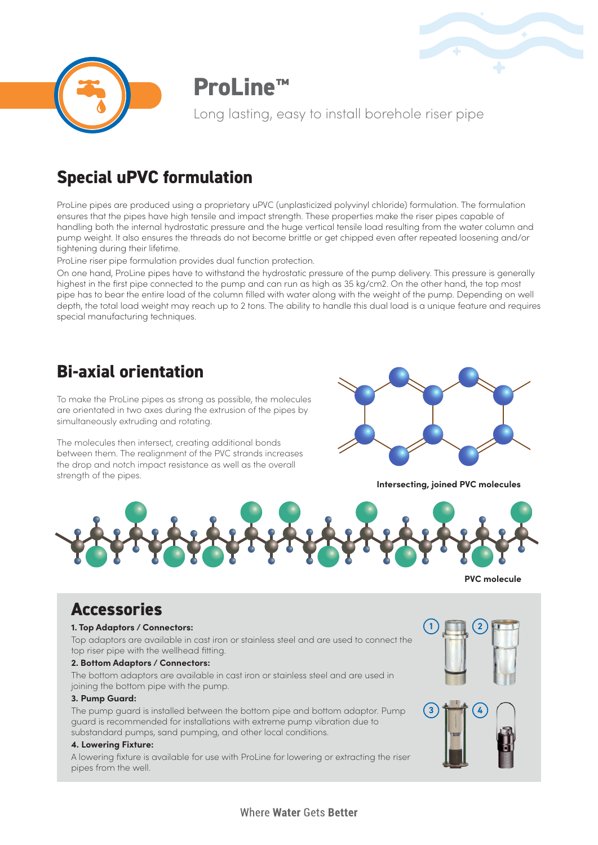



**ProLine™**

Long lasting, easy to install borehole riser pipe

# **Special uPVC formulation**

ProLine pipes are produced using a proprietary uPVC (unplasticized polyvinyl chloride) formulation. The formulation ensures that the pipes have high tensile and impact strength. These properties make the riser pipes capable of handling both the internal hydrostatic pressure and the huge vertical tensile load resulting from the water column and pump weight. It also ensures the threads do not become brittle or get chipped even after repeated loosening and/or tightening during their lifetime.

ProLine riser pipe formulation provides dual function protection.

On one hand, ProLine pipes have to withstand the hydrostatic pressure of the pump delivery. This pressure is generally highest in the first pipe connected to the pump and can run as high as 35 kg/cm2. On the other hand, the top most pipe has to bear the entire load of the column filled with water along with the weight of the pump. Depending on well depth, the total load weight may reach up to 2 tons. The ability to handle this dual load is a unique feature and requires special manufacturing techniques.

# **Bi-axial orientation**

To make the ProLine pipes as strong as possible, the molecules are orientated in two axes during the extrusion of the pipes by simultaneously extruding and rotating.

The molecules then intersect, creating additional bonds between them. The realignment of the PVC strands increases the drop and notch impact resistance as well as the overall strength of the pipes.



**Intersecting, joined PVC molecules**



**PVC molecule**

### **Accessories**

#### **1. Top Adaptors / Connectors:**

Top adaptors are available in cast iron or stainless steel and are used to connect the top riser pipe with the wellhead fitting.

#### **2. Bottom Adaptors / Connectors:**

The bottom adaptors are available in cast iron or stainless steel and are used in joining the bottom pipe with the pump.

#### **3. Pump Guard:**

The pump guard is installed between the bottom pipe and bottom adaptor. Pump guard is recommended for installations with extreme pump vibration due to substandard pumps, sand pumping, and other local conditions.

#### **4. Lowering Fixture:**

A lowering fixture is available for use with ProLine for lowering or extracting the riser pipes from the well.